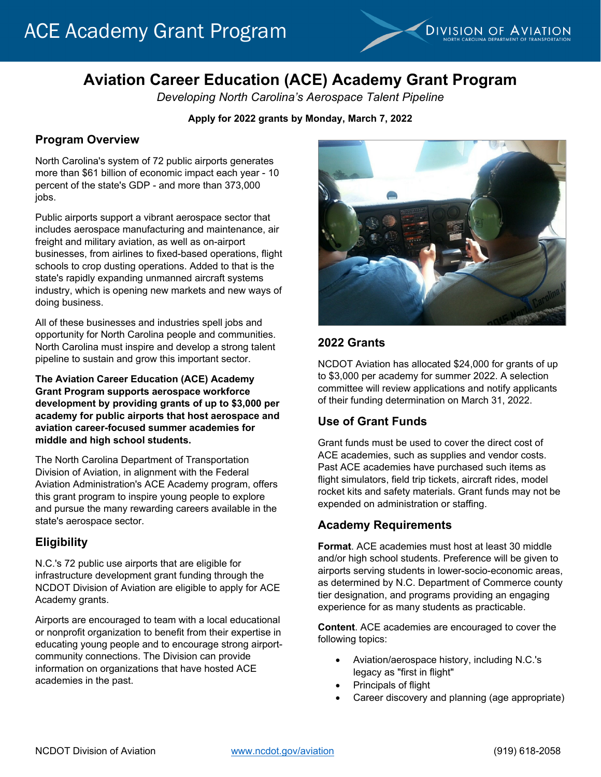

# **Aviation Career Education (ACE) Academy Grant Program**

*Developing North Carolina's Aerospace Talent Pipeline*

**Apply for 2022 grants by Monday, March 7, 2022** 

#### **Program Overview**

North Carolina's system of 72 public airports generates more than \$61 billion of economic impact each year - 10 percent of the state's GDP - and more than 373,000 jobs.

Public airports support a vibrant aerospace sector that includes aerospace manufacturing and maintenance, air freight and military aviation, as well as on-airport businesses, from airlines to fixed-based operations, flight schools to crop dusting operations. Added to that is the state's rapidly expanding unmanned aircraft systems industry, which is opening new markets and new ways of doing business.

All of these businesses and industries spell jobs and opportunity for North Carolina people and communities. North Carolina must inspire and develop a strong talent pipeline to sustain and grow this important sector.

**The Aviation Career Education (ACE) Academy Grant Program supports aerospace workforce development by providing grants of up to \$3,000 per academy for public airports that host aerospace and aviation career-focused summer academies for middle and high school students.** 

The North Carolina Department of Transportation Division of Aviation, in alignment with the Federal Aviation Administration's ACE Academy program, offers this grant program to inspire young people to explore and pursue the many rewarding careers available in the state's aerospace sector.

#### **Eligibility**

N.C.'s 72 public use airports that are eligible for infrastructure development grant funding through the NCDOT Division of Aviation are eligible to apply for ACE Academy grants.

Airports are encouraged to team with a local educational or nonprofit organization to benefit from their expertise in educating young people and to encourage strong airportcommunity connections. The Division can provide information on organizations that have hosted ACE academies in the past.



### **2022 Grants**

NCDOT Aviation has allocated \$24,000 for grants of up to \$3,000 per academy for summer 2022. A selection committee will review applications and notify applicants of their funding determination on March 31, 2022.

#### **Use of Grant Funds**

Grant funds must be used to cover the direct cost of ACE academies, such as supplies and vendor costs. Past ACE academies have purchased such items as flight simulators, field trip tickets, aircraft rides, model rocket kits and safety materials. Grant funds may not be expended on administration or staffing.

#### **Academy Requirements**

**Format**. ACE academies must host at least 30 middle and/or high school students. Preference will be given to airports serving students in lower-socio-economic areas, as determined by N.C. Department of Commerce county tier designation, and programs providing an engaging experience for as many students as practicable.

**Content**. ACE academies are encouraged to cover the following topics:

- Aviation/aerospace history, including N.C.'s legacy as "first in flight"
- Principals of flight
- Career discovery and planning (age appropriate)